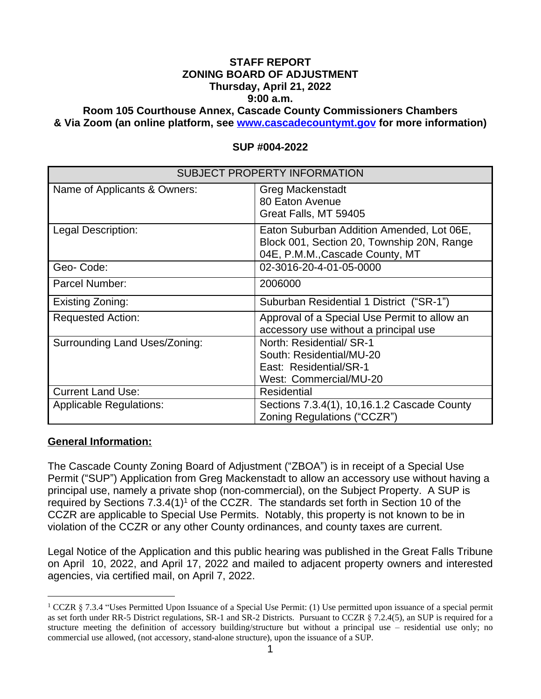# **STAFF REPORT ZONING BOARD OF ADJUSTMENT Thursday, April 21, 2022 9:00 a.m.**

**Room 105 Courthouse Annex, Cascade County Commissioners Chambers & Via Zoom (an online platform, see [www.cascadecountymt.gov](http://www.cascadecountymt.gov) for more information)**

| <b>SUBJECT PROPERTY INFORMATION</b> |                                                                                                                            |
|-------------------------------------|----------------------------------------------------------------------------------------------------------------------------|
| Name of Applicants & Owners:        | <b>Greg Mackenstadt</b><br>80 Eaton Avenue<br>Great Falls, MT 59405                                                        |
| Legal Description:                  | Eaton Suburban Addition Amended, Lot 06E,<br>Block 001, Section 20, Township 20N, Range<br>04E, P.M.M., Cascade County, MT |
| Geo-Code:                           | 02-3016-20-4-01-05-0000                                                                                                    |
| Parcel Number:                      | 2006000                                                                                                                    |
| Existing Zoning:                    | Suburban Residential 1 District ("SR-1")                                                                                   |
| <b>Requested Action:</b>            | Approval of a Special Use Permit to allow an<br>accessory use without a principal use                                      |
| Surrounding Land Uses/Zoning:       | North: Residential/ SR-1<br>South: Residential/MU-20<br>East: Residential/SR-1<br>West: Commercial/MU-20                   |
| <b>Current Land Use:</b>            | <b>Residential</b>                                                                                                         |
| <b>Applicable Regulations:</b>      | Sections 7.3.4(1), 10,16.1.2 Cascade County<br>Zoning Regulations ("CCZR")                                                 |

#### **SUP #004-2022**

#### **General Information:**

The Cascade County Zoning Board of Adjustment ("ZBOA") is in receipt of a Special Use Permit ("SUP") Application from Greg Mackenstadt to allow an accessory use without having a principal use, namely a private shop (non-commercial), on the Subject Property. A SUP is required by Sections  $7.3.4(1)^1$  of the CCZR. The standards set forth in Section 10 of the CCZR are applicable to Special Use Permits. Notably, this property is not known to be in violation of the CCZR or any other County ordinances, and county taxes are current.

Legal Notice of the Application and this public hearing was published in the Great Falls Tribune on April 10, 2022, and April 17, 2022 and mailed to adjacent property owners and interested agencies, via certified mail, on April 7, 2022.

<sup>&</sup>lt;sup>1</sup> CCZR § 7.3.4 "Uses Permitted Upon Issuance of a Special Use Permit: (1) Use permitted upon issuance of a special permit as set forth under RR-5 District regulations, SR-1 and SR-2 Districts. Pursuant to CCZR § 7.2.4(5), an SUP is required for a structure meeting the definition of accessory building/structure but without a principal use – residential use only; no commercial use allowed, (not accessory, stand-alone structure), upon the issuance of a SUP.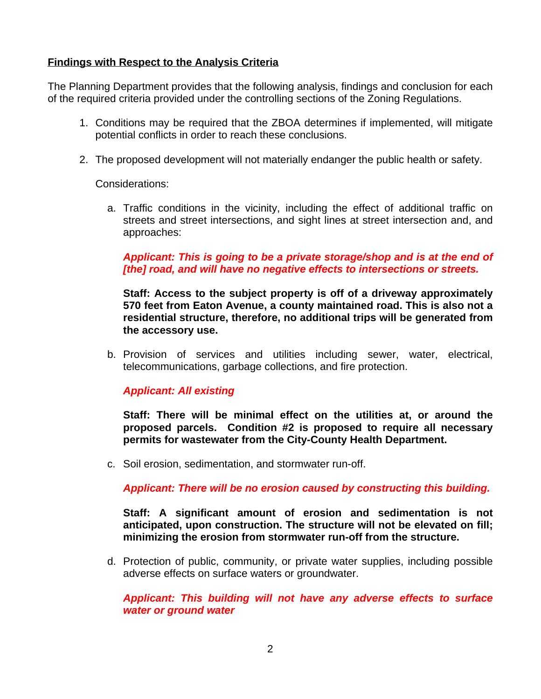## **Findings with Respect to the Analysis Criteria**

The Planning Department provides that the following analysis, findings and conclusion for each of the required criteria provided under the controlling sections of the Zoning Regulations.

- 1. Conditions may be required that the ZBOA determines if implemented, will mitigate potential conflicts in order to reach these conclusions.
- 2. The proposed development will not materially endanger the public health or safety.

Considerations:

a. Traffic conditions in the vicinity, including the effect of additional traffic on streets and street intersections, and sight lines at street intersection and, and approaches:

## *Applicant: This is going to be a private storage/shop and is at the end of [the] road, and will have no negative effects to intersections or streets.*

**Staff: Access to the subject property is off of a driveway approximately 570 feet from Eaton Avenue, a county maintained road. This is also not a residential structure, therefore, no additional trips will be generated from the accessory use.** 

b. Provision of services and utilities including sewer, water, electrical, telecommunications, garbage collections, and fire protection.

## *Applicant: All existing*

**Staff: There will be minimal effect on the utilities at, or around the proposed parcels. Condition #2 is proposed to require all necessary permits for wastewater from the City-County Health Department.**

c. Soil erosion, sedimentation, and stormwater run-off.

*Applicant: There will be no erosion caused by constructing this building.*

**Staff: A significant amount of erosion and sedimentation is not anticipated, upon construction. The structure will not be elevated on fill; minimizing the erosion from stormwater run-off from the structure.**

d. Protection of public, community, or private water supplies, including possible adverse effects on surface waters or groundwater.

*Applicant: This building will not have any adverse effects to surface water or ground water*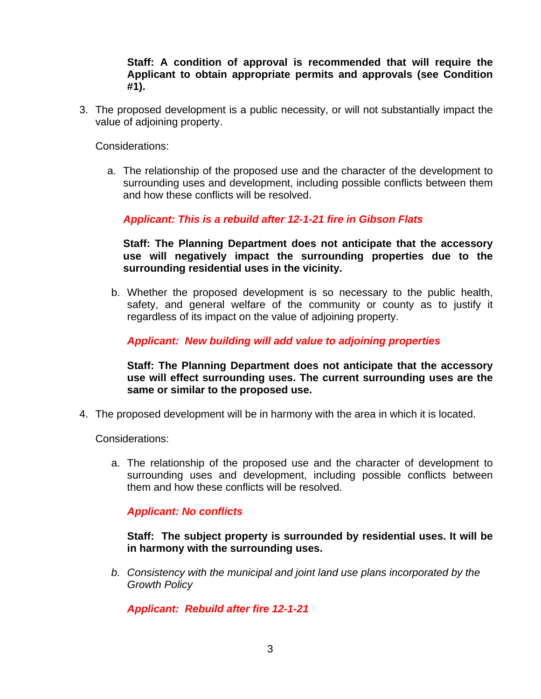**Staff: A condition of approval is recommended that will require the Applicant to obtain appropriate permits and approvals (see Condition #1).**

3. The proposed development is a public necessity, or will not substantially impact the value of adjoining property.

Considerations:

a. The relationship of the proposed use and the character of the development to surrounding uses and development, including possible conflicts between them and how these conflicts will be resolved.

*Applicant: This is a rebuild after 12-1-21 fire in Gibson Flats*

**Staff: The Planning Department does not anticipate that the accessory use will negatively impact the surrounding properties due to the surrounding residential uses in the vicinity.**

b. Whether the proposed development is so necessary to the public health, safety, and general welfare of the community or county as to justify it regardless of its impact on the value of adjoining property.

*Applicant: New building will add value to adjoining properties*

**Staff: The Planning Department does not anticipate that the accessory use will effect surrounding uses. The current surrounding uses are the same or similar to the proposed use.**

4. The proposed development will be in harmony with the area in which it is located.

Considerations:

a. The relationship of the proposed use and the character of development to surrounding uses and development, including possible conflicts between them and how these conflicts will be resolved.

## *Applicant: No conflicts*

**Staff: The subject property is surrounded by residential uses. It will be in harmony with the surrounding uses.**

*b. Consistency with the municipal and joint land use plans incorporated by the Growth Policy* 

*Applicant: Rebuild after fire 12-1-21*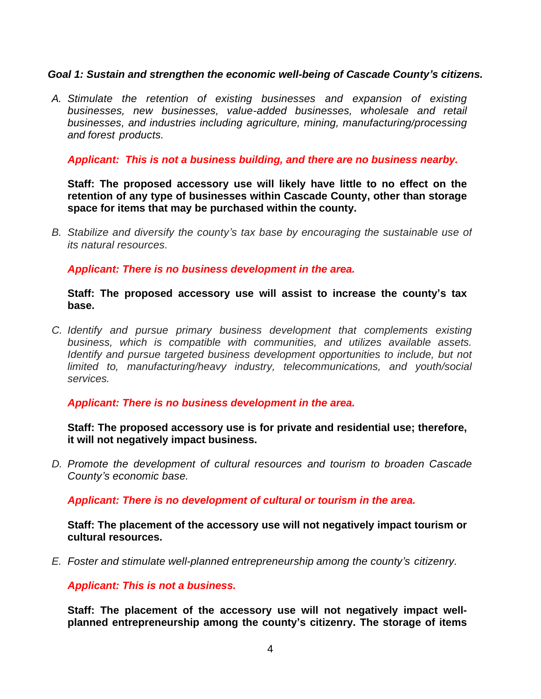## *Goal 1: Sustain and strengthen the economic well-being of Cascade County's citizens.*

*A. Stimulate the retention of existing businesses and expansion of existing businesses, new businesses, value-added businesses, wholesale and retail businesses, and industries including agriculture, mining, manufacturing/processing and forest products.*

*Applicant: This is not a business building, and there are no business nearby.*

**Staff: The proposed accessory use will likely have little to no effect on the retention of any type of businesses within Cascade County, other than storage space for items that may be purchased within the county.** 

*B. Stabilize and diversify the county's tax base by encouraging the sustainable use of its natural resources.*

*Applicant: There is no business development in the area.*

#### **Staff: The proposed accessory use will assist to increase the county's tax base.**

*C. Identify and pursue primary business development that complements existing business, which is compatible with communities, and utilizes available assets. Identify and pursue targeted business development opportunities to include, but not limited to, manufacturing/heavy industry, telecommunications, and youth/social services.*

## *Applicant: There is no business development in the area.*

**Staff: The proposed accessory use is for private and residential use; therefore, it will not negatively impact business.**

*D. Promote the development of cultural resources and tourism to broaden Cascade County's economic base.*

*Applicant: There is no development of cultural or tourism in the area.*

**Staff: The placement of the accessory use will not negatively impact tourism or cultural resources.**

*E. Foster and stimulate well-planned entrepreneurship among the county's citizenry.*

*Applicant: This is not a business.*

**Staff: The placement of the accessory use will not negatively impact wellplanned entrepreneurship among the county's citizenry. The storage of items**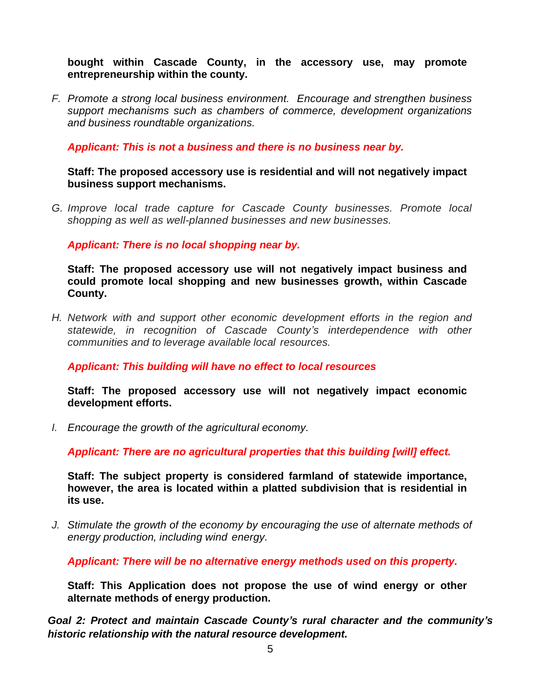**bought within Cascade County, in the accessory use, may promote entrepreneurship within the county.**

*F. Promote a strong local business environment. Encourage and strengthen business support mechanisms such as chambers of commerce, development organizations and business roundtable organizations.*

*Applicant: This is not a business and there is no business near by.*

#### **Staff: The proposed accessory use is residential and will not negatively impact business support mechanisms.**

*G. Improve local trade capture for Cascade County businesses. Promote local shopping as well as well-planned businesses and new businesses.*

*Applicant: There is no local shopping near by.*

**Staff: The proposed accessory use will not negatively impact business and could promote local shopping and new businesses growth, within Cascade County.** 

*H. Network with and support other economic development efforts in the region and statewide, in recognition of Cascade County's interdependence with other communities and to leverage available local resources.*

*Applicant: This building will have no effect to local resources*

**Staff: The proposed accessory use will not negatively impact economic development efforts.**

*I. Encourage the growth of the agricultural economy.*

*Applicant: There are no agricultural properties that this building [will] effect.*

**Staff: The subject property is considered farmland of statewide importance, however, the area is located within a platted subdivision that is residential in its use.**

*J. Stimulate the growth of the economy by encouraging the use of alternate methods of energy production, including wind energy.*

*Applicant: There will be no alternative energy methods used on this property.*

**Staff: This Application does not propose the use of wind energy or other alternate methods of energy production.**

*Goal 2: Protect and maintain Cascade County's rural character and the community's historic relationship with the natural resource development.*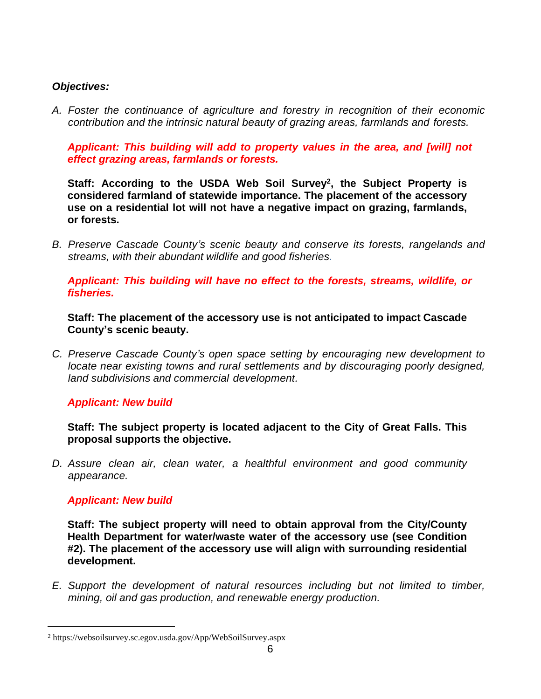## *Objectives:*

*A. Foster the continuance of agriculture and forestry in recognition of their economic contribution and the intrinsic natural beauty of grazing areas, farmlands and forests.*

*Applicant: This building will add to property values in the area, and [will] not effect grazing areas, farmlands or forests.*

**Staff: According to the USDA Web Soil Survey<sup>2</sup> , the Subject Property is considered farmland of statewide importance. The placement of the accessory use on a residential lot will not have a negative impact on grazing, farmlands, or forests.**

*B. Preserve Cascade County's scenic beauty and conserve its forests, rangelands and streams, with their abundant wildlife and good fisheries.*

*Applicant: This building will have no effect to the forests, streams, wildlife, or fisheries.* 

**Staff: The placement of the accessory use is not anticipated to impact Cascade County's scenic beauty.**

*C. Preserve Cascade County's open space setting by encouraging new development to locate near existing towns and rural settlements and by discouraging poorly designed, land subdivisions and commercial development.*

## *Applicant: New build*

**Staff: The subject property is located adjacent to the City of Great Falls. This proposal supports the objective.**

*D. Assure clean air, clean water, a healthful environment and good community appearance.*

## *Applicant: New build*

**Staff: The subject property will need to obtain approval from the City/County Health Department for water/waste water of the accessory use (see Condition #2). The placement of the accessory use will align with surrounding residential development.**

*E. Support the development of natural resources including but not limited to timber, mining, oil and gas production, and renewable energy production.*

<sup>2</sup> https://websoilsurvey.sc.egov.usda.gov/App/WebSoilSurvey.aspx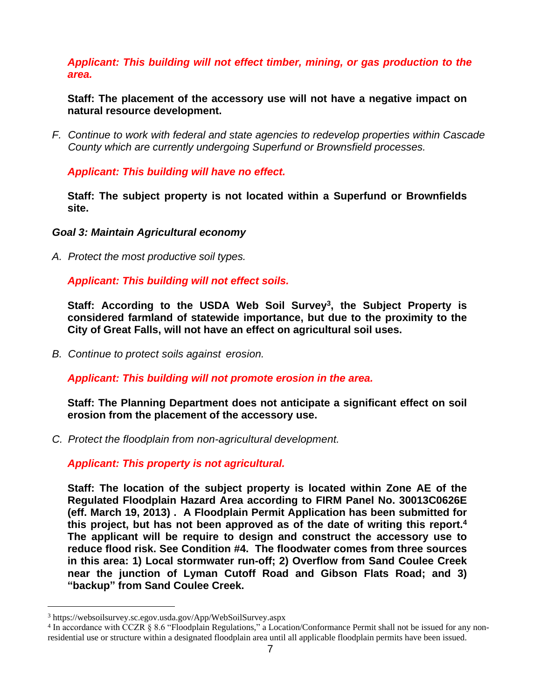## *Applicant: This building will not effect timber, mining, or gas production to the area.*

**Staff: The placement of the accessory use will not have a negative impact on natural resource development.**

*F. Continue to work with federal and state agencies to redevelop properties within Cascade County which are currently undergoing Superfund or Brownsfield processes.*

*Applicant: This building will have no effect.*

**Staff: The subject property is not located within a Superfund or Brownfields site.**

*Goal 3: Maintain Agricultural economy*

*A. Protect the most productive soil types.*

*Applicant: This building will not effect soils.*

**Staff: According to the USDA Web Soil Survey<sup>3</sup> , the Subject Property is considered farmland of statewide importance, but due to the proximity to the City of Great Falls, will not have an effect on agricultural soil uses.**

*B. Continue to protect soils against erosion.*

*Applicant: This building will not promote erosion in the area.*

**Staff: The Planning Department does not anticipate a significant effect on soil erosion from the placement of the accessory use.**

*C. Protect the floodplain from non-agricultural development.*

*Applicant: This property is not agricultural.*

**Staff: The location of the subject property is located within Zone AE of the Regulated Floodplain Hazard Area according to FIRM Panel No. 30013C0626E (eff. March 19, 2013) . A Floodplain Permit Application has been submitted for this project, but has not been approved as of the date of writing this report.<sup>4</sup> The applicant will be require to design and construct the accessory use to reduce flood risk. See Condition #4. The floodwater comes from three sources in this area: 1) Local stormwater run-off; 2) Overflow from Sand Coulee Creek near the junction of Lyman Cutoff Road and Gibson Flats Road; and 3) "backup" from Sand Coulee Creek.**

<sup>3</sup> https://websoilsurvey.sc.egov.usda.gov/App/WebSoilSurvey.aspx

<sup>4</sup> In accordance with CCZR § 8.6 "Floodplain Regulations," a Location/Conformance Permit shall not be issued for any nonresidential use or structure within a designated floodplain area until all applicable floodplain permits have been issued.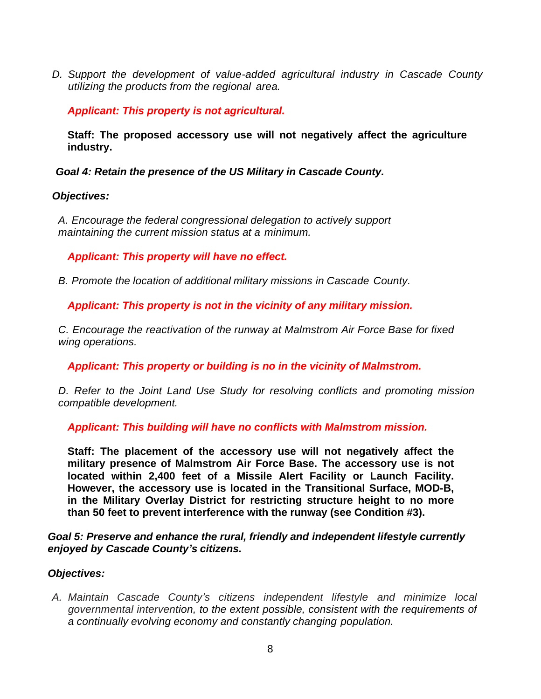*D. Support the development of value-added agricultural industry in Cascade County utilizing the products from the regional area.*

*Applicant: This property is not agricultural.*

**Staff: The proposed accessory use will not negatively affect the agriculture industry.**

*Goal 4: Retain the presence of the US Military in Cascade County.*

## *Objectives:*

*A. Encourage the federal congressional delegation to actively support maintaining the current mission status at a minimum.*

*Applicant: This property will have no effect.*

*B. Promote the location of additional military missions in Cascade County.*

*Applicant: This property is not in the vicinity of any military mission.*

*C. Encourage the reactivation of the runway at Malmstrom Air Force Base for fixed wing operations.*

*Applicant: This property or building is no in the vicinity of Malmstrom.*

*D. Refer to the Joint Land Use Study for resolving conflicts and promoting mission compatible development.*

*Applicant: This building will have no conflicts with Malmstrom mission.*

**Staff: The placement of the accessory use will not negatively affect the military presence of Malmstrom Air Force Base. The accessory use is not located within 2,400 feet of a Missile Alert Facility or Launch Facility. However, the accessory use is located in the Transitional Surface, MOD-B, in the Military Overlay District for restricting structure height to no more than 50 feet to prevent interference with the runway (see Condition #3).**

*Goal 5: Preserve and enhance the rural, friendly and independent lifestyle currently enjoyed by Cascade County's citizens.*

# *Objectives:*

*A. Maintain Cascade County's citizens independent lifestyle and minimize local governmental intervention, to the extent possible, consistent with the requirements of a continually evolving economy and constantly changing population.*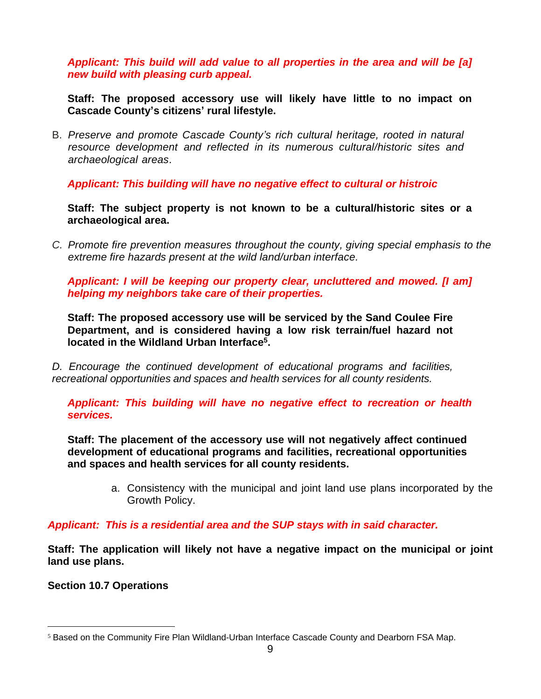*Applicant: This build will add value to all properties in the area and will be [a] new build with pleasing curb appeal.* 

**Staff: The proposed accessory use will likely have little to no impact on Cascade County's citizens' rural lifestyle.**

B. *Preserve and promote Cascade County's rich cultural heritage, rooted in natural resource development and reflected in its numerous cultural/historic sites and archaeological areas*.

*Applicant: This building will have no negative effect to cultural or histroic*

**Staff: The subject property is not known to be a cultural/historic sites or a archaeological area.**

*C. Promote fire prevention measures throughout the county, giving special emphasis to the extreme fire hazards present at the wild land/urban interface.*

*Applicant: I will be keeping our property clear, uncluttered and mowed. [I am] helping my neighbors take care of their properties.* 

**Staff: The proposed accessory use will be serviced by the Sand Coulee Fire Department, and is considered having a low risk terrain/fuel hazard not located in the Wildland Urban Interface<sup>5</sup> .**

*D. Encourage the continued development of educational programs and facilities, recreational opportunities and spaces and health services for all county residents.*

*Applicant: This building will have no negative effect to recreation or health services.*

**Staff: The placement of the accessory use will not negatively affect continued development of educational programs and facilities, recreational opportunities and spaces and health services for all county residents.**

> a. Consistency with the municipal and joint land use plans incorporated by the Growth Policy.

## *Applicant: This is a residential area and the SUP stays with in said character.*

**Staff: The application will likely not have a negative impact on the municipal or joint land use plans.**

**Section 10.7 Operations**

<sup>5</sup> Based on the Community Fire Plan Wildland-Urban Interface Cascade County and Dearborn FSA Map.